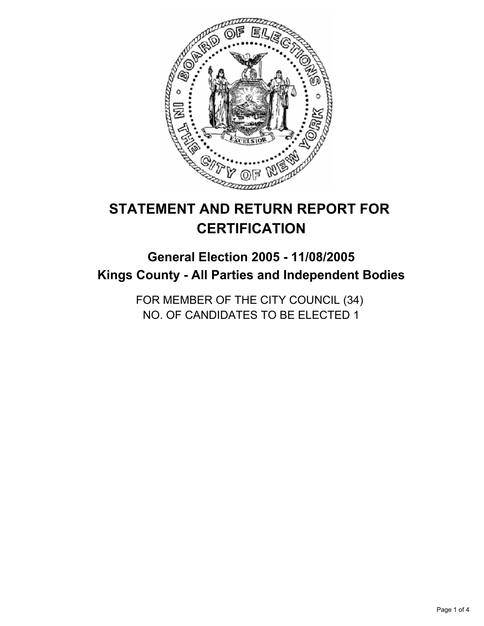

# **STATEMENT AND RETURN REPORT FOR CERTIFICATION**

## **General Election 2005 - 11/08/2005 Kings County - All Parties and Independent Bodies**

FOR MEMBER OF THE CITY COUNCIL (34) NO. OF CANDIDATES TO BE ELECTED 1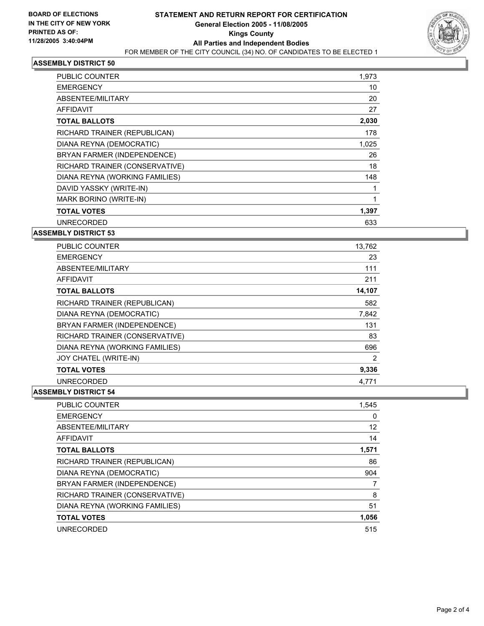

#### **ASSEMBLY DISTRICT 50**

| PUBLIC COUNTER                 | 1,973 |
|--------------------------------|-------|
| <b>EMERGENCY</b>               | 10    |
| ABSENTEE/MILITARY              | 20    |
| <b>AFFIDAVIT</b>               | 27    |
| <b>TOTAL BALLOTS</b>           | 2,030 |
| RICHARD TRAINER (REPUBLICAN)   | 178   |
| DIANA REYNA (DEMOCRATIC)       | 1,025 |
| BRYAN FARMER (INDEPENDENCE)    | 26    |
| RICHARD TRAINER (CONSERVATIVE) | 18    |
| DIANA REYNA (WORKING FAMILIES) | 148   |
| DAVID YASSKY (WRITE-IN)        |       |
| MARK BORINO (WRITE-IN)         |       |
| <b>TOTAL VOTES</b>             | 1,397 |
| <b>UNRECORDED</b>              | 633   |

**ASSEMBLY DISTRICT 53**

| <b>PUBLIC COUNTER</b>          | 13,762 |
|--------------------------------|--------|
| <b>EMERGENCY</b>               | 23     |
| ABSENTEE/MILITARY              | 111    |
| AFFIDAVIT                      | 211    |
| <b>TOTAL BALLOTS</b>           | 14,107 |
| RICHARD TRAINER (REPUBLICAN)   | 582    |
| DIANA REYNA (DEMOCRATIC)       | 7,842  |
| BRYAN FARMER (INDEPENDENCE)    | 131    |
| RICHARD TRAINER (CONSERVATIVE) | 83     |
| DIANA REYNA (WORKING FAMILIES) | 696    |
| JOY CHATEL (WRITE-IN)          | 2      |
| <b>TOTAL VOTES</b>             | 9,336  |
| <b>UNRECORDED</b>              | 4,771  |

#### **ASSEMBLY DISTRICT 54**

| PUBLIC COUNTER                 | 1,545 |
|--------------------------------|-------|
| <b>EMERGENCY</b>               |       |
| ABSENTEE/MILITARY              | 12    |
| <b>AFFIDAVIT</b>               | 14    |
| <b>TOTAL BALLOTS</b>           | 1,571 |
| RICHARD TRAINER (REPUBLICAN)   | 86    |
| DIANA REYNA (DEMOCRATIC)       | 904   |
| BRYAN FARMER (INDEPENDENCE)    |       |
| RICHARD TRAINER (CONSERVATIVE) | 8     |
| DIANA REYNA (WORKING FAMILIES) | 51    |
| <b>TOTAL VOTES</b>             | 1,056 |
| <b>UNRECORDED</b>              | 515   |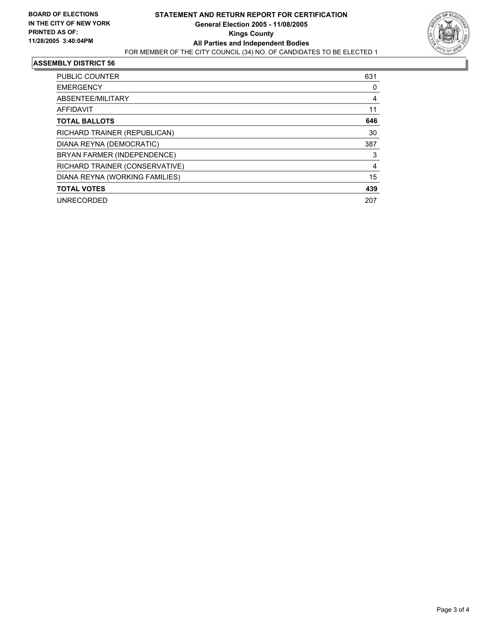

#### **ASSEMBLY DISTRICT 56**

| PUBLIC COUNTER                 | 631 |
|--------------------------------|-----|
| <b>EMERGENCY</b>               | 0   |
| ABSENTEE/MILITARY              | 4   |
| AFFIDAVIT                      | 11  |
| <b>TOTAL BALLOTS</b>           | 646 |
| RICHARD TRAINER (REPUBLICAN)   | 30  |
| DIANA REYNA (DEMOCRATIC)       | 387 |
| BRYAN FARMER (INDEPENDENCE)    | 3   |
| RICHARD TRAINER (CONSERVATIVE) | 4   |
| DIANA REYNA (WORKING FAMILIES) | 15  |
| <b>TOTAL VOTES</b>             | 439 |
| <b>UNRECORDED</b>              | 207 |